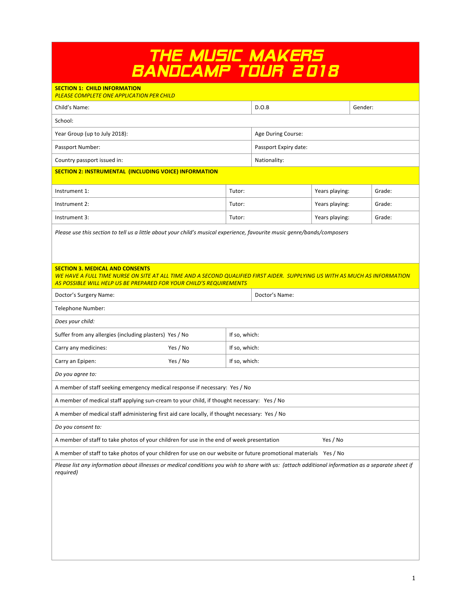# *THE MUSIC MAKERS BANDCAMP TOUR 2018*

| <b>SECTION 1: CHILD INFORMATION</b><br>PLEASE COMPLETE ONE APPLICATION PER CHILD                                                                                                                                                           |               |                       |                |         |        |  |
|--------------------------------------------------------------------------------------------------------------------------------------------------------------------------------------------------------------------------------------------|---------------|-----------------------|----------------|---------|--------|--|
| Child's Name:                                                                                                                                                                                                                              |               | D.O.B                 |                | Gender: |        |  |
| School:                                                                                                                                                                                                                                    |               |                       |                |         |        |  |
| Year Group (up to July 2018):                                                                                                                                                                                                              |               | Age During Course:    |                |         |        |  |
| Passport Number:                                                                                                                                                                                                                           |               | Passport Expiry date: |                |         |        |  |
| Country passport issued in:                                                                                                                                                                                                                |               | Nationality:          |                |         |        |  |
| <b>SECTION 2: INSTRUMENTAL (INCLUDING VOICE) INFORMATION</b>                                                                                                                                                                               |               |                       |                |         |        |  |
| Instrument 1:                                                                                                                                                                                                                              | Tutor:        |                       | Years playing: |         | Grade: |  |
| Instrument 2:                                                                                                                                                                                                                              | Tutor:        |                       | Years playing: |         | Grade: |  |
| Instrument 3:                                                                                                                                                                                                                              | Tutor:        |                       | Years playing: |         | Grade: |  |
| Please use this section to tell us a little about your child's musical experience, favourite music genre/bands/composers                                                                                                                   |               |                       |                |         |        |  |
|                                                                                                                                                                                                                                            |               |                       |                |         |        |  |
|                                                                                                                                                                                                                                            |               |                       |                |         |        |  |
| <b>SECTION 3. MEDICAL AND CONSENTS</b><br>WE HAVE A FULL TIME NURSE ON SITE AT ALL TIME AND A SECOND QUALIFIED FIRST AIDER. SUPPLYING US WITH AS MUCH AS INFORMATION<br>AS POSSIBLE WILL HELP US BE PREPARED FOR YOUR CHILD'S REQUIREMENTS |               |                       |                |         |        |  |
| Doctor's Surgery Name:                                                                                                                                                                                                                     |               | Doctor's Name:        |                |         |        |  |
| Telephone Number:                                                                                                                                                                                                                          |               |                       |                |         |        |  |
| Does your child:                                                                                                                                                                                                                           |               |                       |                |         |        |  |
| Suffer from any allergies (including plasters) Yes / No<br>If so, which:                                                                                                                                                                   |               |                       |                |         |        |  |
| Carry any medicines:<br>Yes / No                                                                                                                                                                                                           | If so, which: |                       |                |         |        |  |
| Yes / No<br>Carry an Epipen:                                                                                                                                                                                                               | If so, which: |                       |                |         |        |  |
| Do you agree to:                                                                                                                                                                                                                           |               |                       |                |         |        |  |
| A member of staff seeking emergency medical response if necessary: Yes / No                                                                                                                                                                |               |                       |                |         |        |  |
| A member of medical staff applying sun-cream to your child, if thought necessary: Yes / No                                                                                                                                                 |               |                       |                |         |        |  |
| A member of medical staff administering first aid care locally, if thought necessary: Yes / No                                                                                                                                             |               |                       |                |         |        |  |
| Do you consent to:                                                                                                                                                                                                                         |               |                       |                |         |        |  |
| A member of staff to take photos of your children for use in the end of week presentation<br>Yes / No                                                                                                                                      |               |                       |                |         |        |  |
| A member of staff to take photos of your children for use on our website or future promotional materials Yes / No                                                                                                                          |               |                       |                |         |        |  |
| Please list any information about illnesses or medical conditions you wish to share with us: (attach additional information as a separate sheet if<br>required)                                                                            |               |                       |                |         |        |  |
|                                                                                                                                                                                                                                            |               |                       |                |         |        |  |
|                                                                                                                                                                                                                                            |               |                       |                |         |        |  |
|                                                                                                                                                                                                                                            |               |                       |                |         |        |  |
|                                                                                                                                                                                                                                            |               |                       |                |         |        |  |
|                                                                                                                                                                                                                                            |               |                       |                |         |        |  |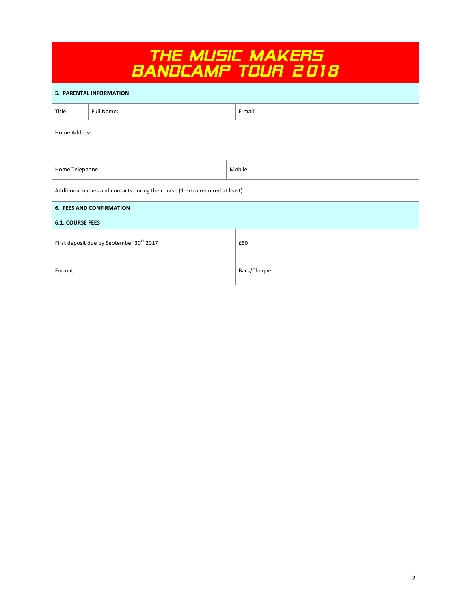| <i>THÉ MUSIC MAKÉRS</i><br><i>BANDCAMP TOUR 2018</i>                         |                                                      |             |  |  |
|------------------------------------------------------------------------------|------------------------------------------------------|-------------|--|--|
| <b>5. PARENTAL INFORMATION</b>                                               |                                                      |             |  |  |
| Title:                                                                       | <b>Full Name:</b>                                    | E-mail:     |  |  |
| Home Address:                                                                |                                                      |             |  |  |
| Home Telephone:                                                              |                                                      | Mobile:     |  |  |
| Additional names and contacts during the course (1 extra required at least): |                                                      |             |  |  |
| <b>6. FEES AND CONFIRMATION</b>                                              |                                                      |             |  |  |
| <b>6.1: COURSE FEES</b>                                                      |                                                      |             |  |  |
|                                                                              | First deposit due by September 30 <sup>th</sup> 2017 | £50         |  |  |
| Format                                                                       |                                                      | Bacs/Cheque |  |  |